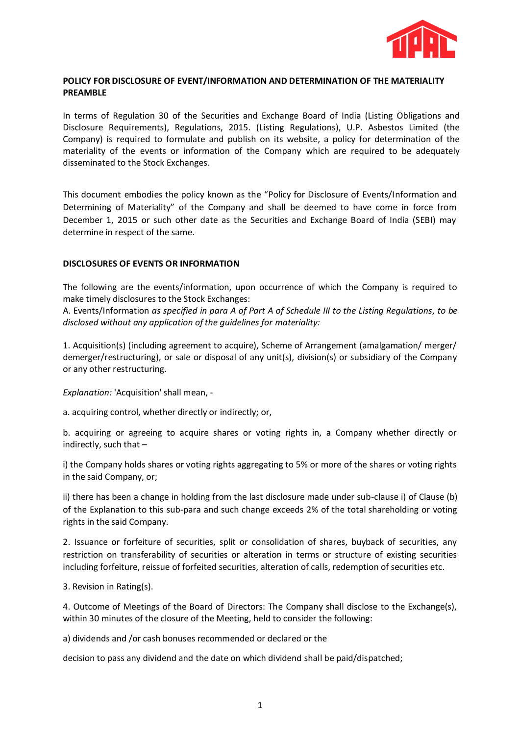

# **POLICY FOR DISCLOSURE OF EVENT/INFORMATION AND DETERMINATION OF THE MATERIALITY PREAMBLE**

In terms of Regulation 30 of the Securities and Exchange Board of India (Listing Obligations and Disclosure Requirements), Regulations, 2015. (Listing Regulations), U.P. Asbestos Limited (the Company) is required to formulate and publish on its website, a policy for determination of the materiality of the events or information of the Company which are required to be adequately disseminated to the Stock Exchanges.

This document embodies the policy known as the "Policy for Disclosure of Events/Information and Determining of Materiality" of the Company and shall be deemed to have come in force from December 1, 2015 or such other date as the Securities and Exchange Board of India (SEBI) may determine in respect of the same.

## **DISCLOSURES OF EVENTS OR INFORMATION**

The following are the events/information, upon occurrence of which the Company is required to make timely disclosures to the Stock Exchanges:

A. Events/Information *as specified in para A of Part A of Schedule III to the Listing Regulations, to be disclosed without any application of the guidelines for materiality:*

1. Acquisition(s) (including agreement to acquire), Scheme of Arrangement (amalgamation/ merger/ demerger/restructuring), or sale or disposal of any unit(s), division(s) or subsidiary of the Company or any other restructuring.

*Explanation:* 'Acquisition' shall mean, -

a. acquiring control, whether directly or indirectly; or,

b. acquiring or agreeing to acquire shares or voting rights in, a Company whether directly or indirectly, such that –

i) the Company holds shares or voting rights aggregating to 5% or more of the shares or voting rights in the said Company, or;

ii) there has been a change in holding from the last disclosure made under sub-clause i) of Clause (b) of the Explanation to this sub-para and such change exceeds 2% of the total shareholding or voting rights in the said Company.

2. Issuance or forfeiture of securities, split or consolidation of shares, buyback of securities, any restriction on transferability of securities or alteration in terms or structure of existing securities including forfeiture, reissue of forfeited securities, alteration of calls, redemption of securities etc.

3. Revision in Rating(s).

4. Outcome of Meetings of the Board of Directors: The Company shall disclose to the Exchange(s), within 30 minutes of the closure of the Meeting, held to consider the following:

a) dividends and /or cash bonuses recommended or declared or the

decision to pass any dividend and the date on which dividend shall be paid/dispatched;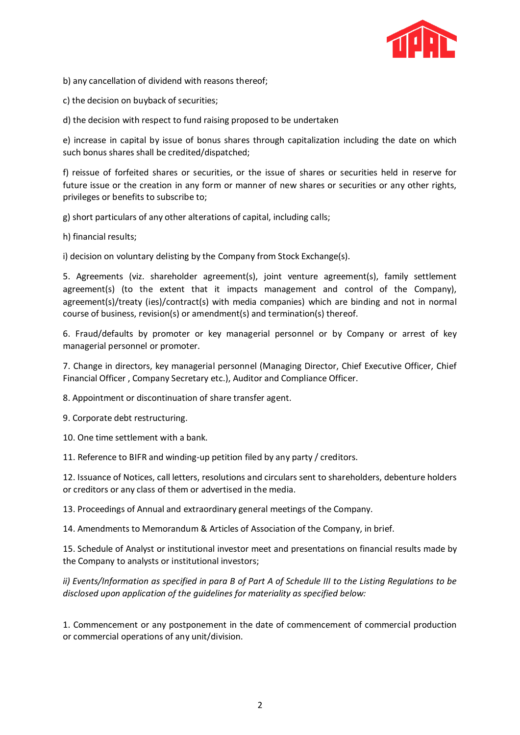

b) any cancellation of dividend with reasons thereof;

c) the decision on buyback of securities;

d) the decision with respect to fund raising proposed to be undertaken

e) increase in capital by issue of bonus shares through capitalization including the date on which such bonus shares shall be credited/dispatched;

f) reissue of forfeited shares or securities, or the issue of shares or securities held in reserve for future issue or the creation in any form or manner of new shares or securities or any other rights, privileges or benefits to subscribe to;

g) short particulars of any other alterations of capital, including calls;

h) financial results;

i) decision on voluntary delisting by the Company from Stock Exchange(s).

5. Agreements (viz. shareholder agreement(s), joint venture agreement(s), family settlement agreement(s) (to the extent that it impacts management and control of the Company), agreement(s)/treaty (ies)/contract(s) with media companies) which are binding and not in normal course of business, revision(s) or amendment(s) and termination(s) thereof.

6. Fraud/defaults by promoter or key managerial personnel or by Company or arrest of key managerial personnel or promoter.

7. Change in directors, key managerial personnel (Managing Director, Chief Executive Officer, Chief Financial Officer , Company Secretary etc.), Auditor and Compliance Officer.

8. Appointment or discontinuation of share transfer agent.

9. Corporate debt restructuring.

10. One time settlement with a bank.

11. Reference to BIFR and winding-up petition filed by any party / creditors.

12. Issuance of Notices, call letters, resolutions and circulars sent to shareholders, debenture holders or creditors or any class of them or advertised in the media.

13. Proceedings of Annual and extraordinary general meetings of the Company.

14. Amendments to Memorandum & Articles of Association of the Company, in brief.

15. Schedule of Analyst or institutional investor meet and presentations on financial results made by the Company to analysts or institutional investors;

*ii) Events/Information as specified in para B of Part A of Schedule III to the Listing Regulations to be disclosed upon application of the guidelines for materiality as specified below:*

1. Commencement or any postponement in the date of commencement of commercial production or commercial operations of any unit/division.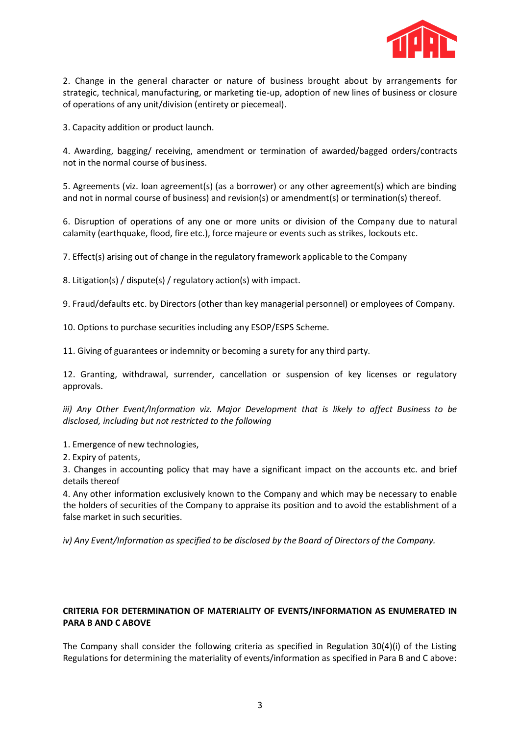

2. Change in the general character or nature of business brought about by arrangements for strategic, technical, manufacturing, or marketing tie-up, adoption of new lines of business or closure of operations of any unit/division (entirety or piecemeal).

3. Capacity addition or product launch.

4. Awarding, bagging/ receiving, amendment or termination of awarded/bagged orders/contracts not in the normal course of business.

5. Agreements (viz. loan agreement(s) (as a borrower) or any other agreement(s) which are binding and not in normal course of business) and revision(s) or amendment(s) or termination(s) thereof.

6. Disruption of operations of any one or more units or division of the Company due to natural calamity (earthquake, flood, fire etc.), force majeure or events such as strikes, lockouts etc.

7. Effect(s) arising out of change in the regulatory framework applicable to the Company

8. Litigation(s) / dispute(s) / regulatory action(s) with impact.

9. Fraud/defaults etc. by Directors (other than key managerial personnel) or employees of Company.

10. Options to purchase securities including any ESOP/ESPS Scheme.

11. Giving of guarantees or indemnity or becoming a surety for any third party.

12. Granting, withdrawal, surrender, cancellation or suspension of key licenses or regulatory approvals.

*iii) Any Other Event/Information viz. Major Development that is likely to affect Business to be disclosed, including but not restricted to the following*

1. Emergence of new technologies,

2. Expiry of patents,

3. Changes in accounting policy that may have a significant impact on the accounts etc. and brief details thereof

4. Any other information exclusively known to the Company and which may be necessary to enable the holders of securities of the Company to appraise its position and to avoid the establishment of a false market in such securities.

*iv) Any Event/Information as specified to be disclosed by the Board of Directors of the Company.*

## **CRITERIA FOR DETERMINATION OF MATERIALITY OF EVENTS/INFORMATION AS ENUMERATED IN PARA B AND C ABOVE**

The Company shall consider the following criteria as specified in Regulation 30(4)(i) of the Listing Regulations for determining the materiality of events/information as specified in Para B and C above: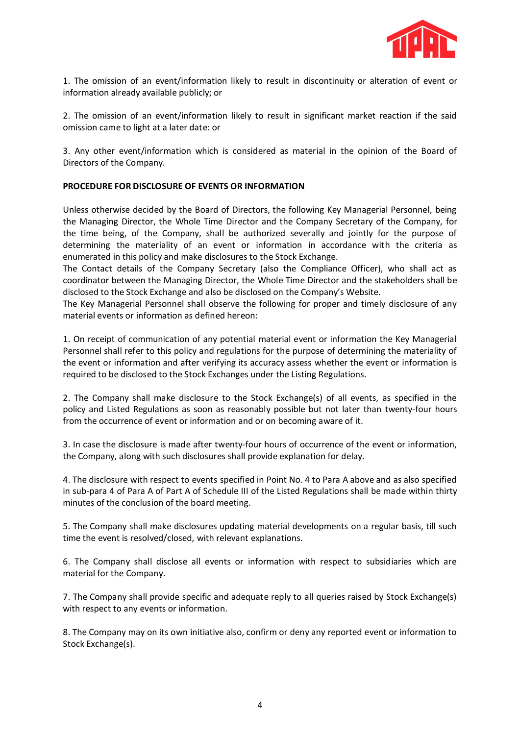

1. The omission of an event/information likely to result in discontinuity or alteration of event or information already available publicly; or

2. The omission of an event/information likely to result in significant market reaction if the said omission came to light at a later date: or

3. Any other event/information which is considered as material in the opinion of the Board of Directors of the Company.

# **PROCEDURE FOR DISCLOSURE OF EVENTS OR INFORMATION**

Unless otherwise decided by the Board of Directors, the following Key Managerial Personnel, being the Managing Director, the Whole Time Director and the Company Secretary of the Company, for the time being, of the Company, shall be authorized severally and jointly for the purpose of determining the materiality of an event or information in accordance with the criteria as enumerated in this policy and make disclosures to the Stock Exchange.

The Contact details of the Company Secretary (also the Compliance Officer), who shall act as coordinator between the Managing Director, the Whole Time Director and the stakeholders shall be disclosed to the Stock Exchange and also be disclosed on the Company's Website.

The Key Managerial Personnel shall observe the following for proper and timely disclosure of any material events or information as defined hereon:

1. On receipt of communication of any potential material event or information the Key Managerial Personnel shall refer to this policy and regulations for the purpose of determining the materiality of the event or information and after verifying its accuracy assess whether the event or information is required to be disclosed to the Stock Exchanges under the Listing Regulations.

2. The Company shall make disclosure to the Stock Exchange(s) of all events, as specified in the policy and Listed Regulations as soon as reasonably possible but not later than twenty-four hours from the occurrence of event or information and or on becoming aware of it.

3. In case the disclosure is made after twenty-four hours of occurrence of the event or information, the Company, along with such disclosures shall provide explanation for delay.

4. The disclosure with respect to events specified in Point No. 4 to Para A above and as also specified in sub-para 4 of Para A of Part A of Schedule III of the Listed Regulations shall be made within thirty minutes of the conclusion of the board meeting.

5. The Company shall make disclosures updating material developments on a regular basis, till such time the event is resolved/closed, with relevant explanations.

6. The Company shall disclose all events or information with respect to subsidiaries which are material for the Company.

7. The Company shall provide specific and adequate reply to all queries raised by Stock Exchange(s) with respect to any events or information.

8. The Company may on its own initiative also, confirm or deny any reported event or information to Stock Exchange(s).